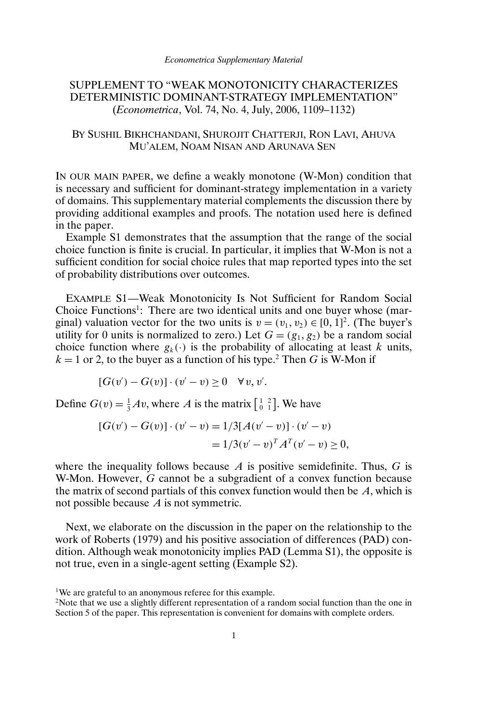# SUPPLEMENT TO "WEAK MONOTONICITY CHARACTERIZES DETERMINISTIC DOMINANT-STRATEGY IMPLEMENTATION" (*Econometrica*, Vol. 74, No. 4, July, 2006, 1109–1132)

### BY SUSHIL BIKHCHANDANI, SHUROJIT CHATTERJI, RON LAVI, AHUVA MU'ALEM, NOAM NISAN AND ARUNAVA SEN

IN OUR MAIN PAPER, we define a weakly monotone (W-Mon) condition that is necessary and sufficient for dominant-strategy implementation in a variety of domains. This supplementary material complements the discussion there by providing additional examples and proofs. The notation used here is defined in the paper.

Example S1 demonstrates that the assumption that the range of the social choice function is finite is crucial. In particular, it implies that W-Mon is not a sufficient condition for social choice rules that map reported types into the set of probability distributions over outcomes.

EXAMPLE S1—Weak Monotonicity Is Not Sufficient for Random Social Choice Functions<sup>1</sup>: There are two identical units and one buyer whose (marginal) valuation vector for the two units is  $v = (v_1, v_2) \in [0, 1]^2$ . (The buyer's utility for 0 units is normalized to zero.) Let  $G = (g_1, g_2)$  be a random social choice function where  $g_k(\cdot)$  is the probability of allocating at least k units,  $k = 1$  or 2, to the buyer as a function of his type.<sup>2</sup> Then G is W-Mon if

$$
[G(v') - G(v)] \cdot (v' - v) \ge 0 \quad \forall v, v'.
$$

Define  $G(v) = \frac{1}{3}Av$ , where A is the matrix  $\begin{bmatrix} 1 & 2 \\ 0 & 1 \end{bmatrix}$ . We have

$$
[G(v') - G(v)] \cdot (v' - v) = 1/3[A(v' - v)] \cdot (v' - v)
$$
  
=  $1/3(v' - v)^T A^T (v' - v) \ge 0$ ,

where the inequality follows because  $A$  is positive semidefinite. Thus,  $G$  is W-Mon. However, G cannot be a subgradient of a convex function because the matrix of second partials of this convex function would then be  $A$ , which is not possible because  $A$  is not symmetric.

Next, we elaborate on the discussion in the paper on the relationship to the work of Roberts (1979) and his positive association of differences (PAD) condition. Although weak monotonicity implies PAD (Lemma S1), the opposite is not true, even in a single-agent setting (Example S2).

<sup>&</sup>lt;sup>1</sup>We are grateful to an anonymous referee for this example.

<sup>&</sup>lt;sup>2</sup>Note that we use a slightly different representation of a random social function than the one in Section 5 of the paper. This representation is convenient for domains with complete orders.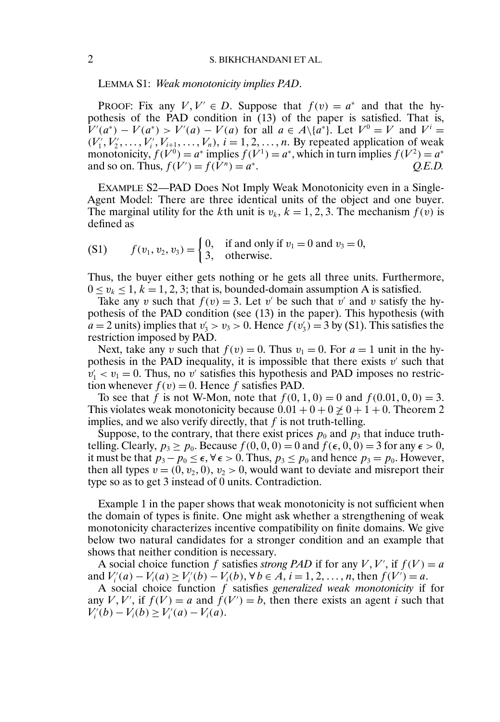### 2 S. BIKHCHANDANI ET AL.

LEMMA S1: *Weak monotonicity implies PAD*.

PROOF: Fix any  $V, V' \in D$ . Suppose that  $f(v) = a^*$  and that the hypothesis of the PAD condition in (13) of the paper is satisfied. That is,  $V'(a^*) - V(a^*) > V'(a) - V(a)$  for all  $a \in A \setminus \{a^*\}$ . Let  $V^0 = V$  and  $V^i = V$  $(V'_1, V'_2, \ldots, V'_i, V_{i+1}, \ldots, V_n), i = 1, 2, \ldots, n$ . By repeated application of weak monotonicity,  $f(V^0) = a^*$  implies  $f(V^1) = a^*$ , which in turn implies  $f(V^2) = a^*$ and so on. Thus,  $f(V') = f(V^n) = a^*$ . *Q.E.D.* 

EXAMPLE S2—PAD Does Not Imply Weak Monotonicity even in a Single-Agent Model: There are three identical units of the object and one buyer. The marginal utility for the kth unit is  $v_k$ ,  $k = 1, 2, 3$ . The mechanism  $f(v)$  is defined as

(S1) 
$$
f(v_1, v_2, v_3) = \begin{cases} 0, & \text{if and only if } v_1 = 0 \text{ and } v_3 = 0, \\ 3, & \text{otherwise.} \end{cases}
$$

Thus, the buyer either gets nothing or he gets all three units. Furthermore,  $0 \le v_k \le 1, k = 1, 2, 3$ ; that is, bounded-domain assumption A is satisfied.

Take any v such that  $f(v) = 3$ . Let v' be such that v' and v satisfy the hypothesis of the PAD condition (see (13) in the paper). This hypothesis (with  $a = 2$  units) implies that  $v'_3 > v_3 > 0$ . Hence  $f(v'_3) = 3$  by (S1). This satisfies the restriction imposed by PAD.

Next, take any v such that  $f(v) = 0$ . Thus  $v_1 = 0$ . For  $a = 1$  unit in the hypothesis in the PAD inequality, it is impossible that there exists  $v'$  such that  $v_1' < v_1 = 0$ . Thus, no v' satisfies this hypothesis and PAD imposes no restriction whenever  $f(v) = 0$ . Hence f satisfies PAD.

To see that f is not W-Mon, note that  $f(0, 1, 0) = 0$  and  $f(0.01, 0, 0) = 3$ . This violates weak monotonicity because  $0.01 + 0 + 0 \ge 0 + 1 + 0$ . Theorem 2 implies, and we also verify directly, that  $f$  is not truth-telling.

Suppose, to the contrary, that there exist prices  $p_0$  and  $p_3$  that induce truthtelling. Clearly,  $p_3 \ge p_0$ . Because  $f(0, 0, 0) = 0$  and  $f(\epsilon, 0, 0) = 3$  for any  $\epsilon > 0$ , it must be that  $p_3 - p_0 \le \epsilon$ ,  $\forall \epsilon > 0$ . Thus,  $p_3 \le p_0$  and hence  $p_3 = p_0$ . However, then all types  $v = (0, v_2, 0), v_2 > 0$ , would want to deviate and misreport their type so as to get 3 instead of 0 units. Contradiction.

Example 1 in the paper shows that weak monotonicity is not sufficient when the domain of types is finite. One might ask whether a strengthening of weak monotonicity characterizes incentive compatibility on finite domains. We give below two natural candidates for a stronger condition and an example that shows that neither condition is necessary.

A social choice function f satisfies *strong PAD* if for any  $V, V'$ , if  $f(V) = a$ and  $V_i'(a) - V_i(a) \ge V_i'(b) - V_i(b)$ ,  $\forall b \in A, i = 1, 2, ..., n$ , then  $f(V') = a$ .

A social choice function f satisfies *generalized weak monotonicity* if for any V, V', if  $f(V) = a$  and  $\hat{f}(V') = b$ , then there exists an agent i such that  $V'_{i}(b) - V_{i}(b) \geq V'_{i}(a) - V_{i}(a).$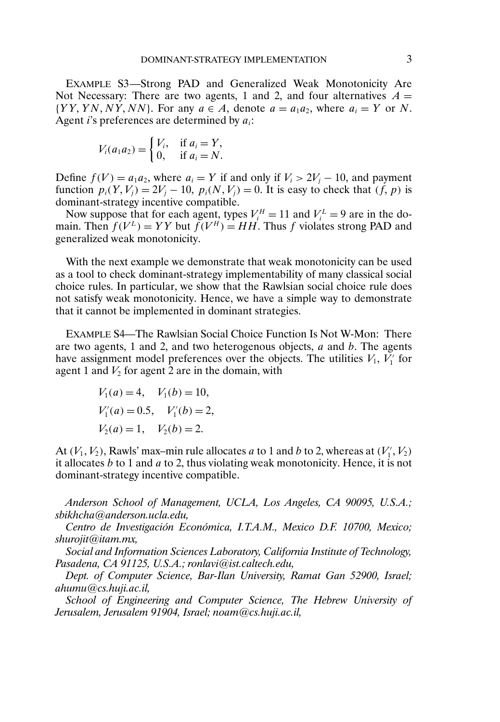EXAMPLE S3—Strong PAD and Generalized Weak Monotonicity Are Not Necessary: There are two agents, 1 and 2, and four alternatives  $A =$  $\{YY, YN, NY, NN\}$ . For any  $a \in A$ , denote  $a = a_1 a_2$ , where  $a_i = Y$  or N. Agent *i*'s preferences are determined by  $a_i$ :

$$
V_i(a_1a_2) = \begin{cases} V_i, & \text{if } a_i = Y, \\ 0, & \text{if } a_i = N. \end{cases}
$$

Define  $f(V) = a_1 a_2$ , where  $a_i = Y$  if and only if  $V_i > 2V_j - 10$ , and payment function  $p_i(Y, V_j) = 2V_j - 10$ ,  $p_i(N, V_j) = 0$ . It is easy to check that  $(f, p)$  is dominant-strategy incentive compatible.

Now suppose that for each agent, types  $V_i^H = 11$  and  $V_i^L = 9$  are in the domain. Then  $f(V^L) = YY$  but  $\tilde{f}(V^H) = HH$ . Thus f violates strong PAD and generalized weak monotonicity.

With the next example we demonstrate that weak monotonicity can be used as a tool to check dominant-strategy implementability of many classical social choice rules. In particular, we show that the Rawlsian social choice rule does not satisfy weak monotonicity. Hence, we have a simple way to demonstrate that it cannot be implemented in dominant strategies.

EXAMPLE S4—The Rawlsian Social Choice Function Is Not W-Mon: There are two agents, 1 and 2, and two heterogenous objects,  $a$  and  $b$ . The agents have assignment model preferences over the objects. The utilities  $V_1$ ,  $V'_1$  for agent 1 and  $V_2$  for agent 2 are in the domain, with

$$
V_1(a) = 4, \quad V_1(b) = 10,
$$
  
\n
$$
V'_1(a) = 0.5, \quad V'_1(b) = 2,
$$
  
\n
$$
V_2(a) = 1, \quad V_2(b) = 2.
$$

At  $(V_1, V_2)$ , Rawls' max-min rule allocates a to 1 and b to 2, whereas at  $(V'_1, V_2)$ it allocates b to 1 and a to 2, thus violating weak monotonicity. Hence, it is not dominant-strategy incentive compatible.

*Anderson School of Management, UCLA, Los Angeles, CA 90095, U.S.A.; sbikhcha@anderson.ucla.edu,*

*Centro de Investigación Económica, I.T.A.M., Mexico D.F. 10700, Mexico; shurojit@itam.mx,*

*Social and Information Sciences Laboratory, California Institute of Technology, Pasadena, CA 91125, U.S.A.; ronlavi@ist.caltech.edu,*

*Dept. of Computer Science, Bar-Ilan University, Ramat Gan 52900, Israel; ahumu@cs.huji.ac.il,*

*School of Engineering and Computer Science, The Hebrew University of Jerusalem, Jerusalem 91904, Israel; noam@cs.huji.ac.il,*